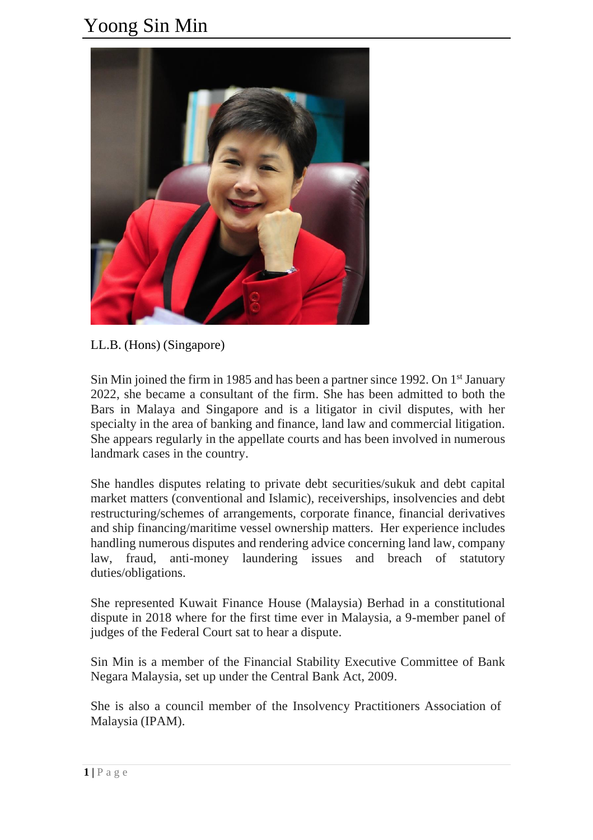## Yoong Sin Min



LL.B. (Hons) (Singapore)

Sin Min joined the firm in 1985 and has been a partner since 1992. On 1<sup>st</sup> January 2022, she became a consultant of the firm. She has been admitted to both the Bars in Malaya and Singapore and is a litigator in civil disputes, with her specialty in the area of banking and finance, land law and commercial litigation. She appears regularly in the appellate courts and has been involved in numerous landmark cases in the country.

She handles disputes relating to private debt securities/sukuk and debt capital market matters (conventional and Islamic), receiverships, insolvencies and debt restructuring/schemes of arrangements, corporate finance, financial derivatives and ship financing/maritime vessel ownership matters. Her experience includes handling numerous disputes and rendering advice concerning land law, company law, fraud, anti-money laundering issues and breach of statutory duties/obligations.

She represented Kuwait Finance House (Malaysia) Berhad in a constitutional dispute in 2018 where for the first time ever in Malaysia, a 9-member panel of judges of the Federal Court sat to hear a dispute.

Sin Min is a member of the Financial Stability Executive Committee of Bank Negara Malaysia, set up under the Central Bank Act, 2009.

She is also a council member of the Insolvency Practitioners Association of Malaysia (IPAM).